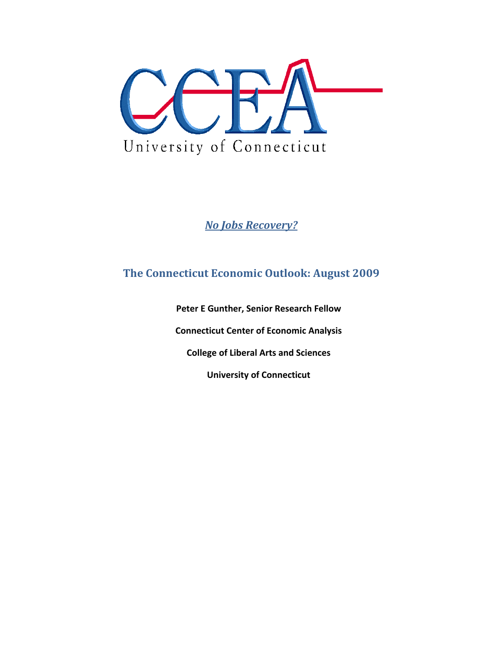

*No Jobs Recovery?*

# **The Connecticut Economic Outlook: August 2009**

**Peter E Gunther, Senior Research Fellow Connecticut Center of Economic Analysis College of Liberal Arts and Sciences University of Connecticut**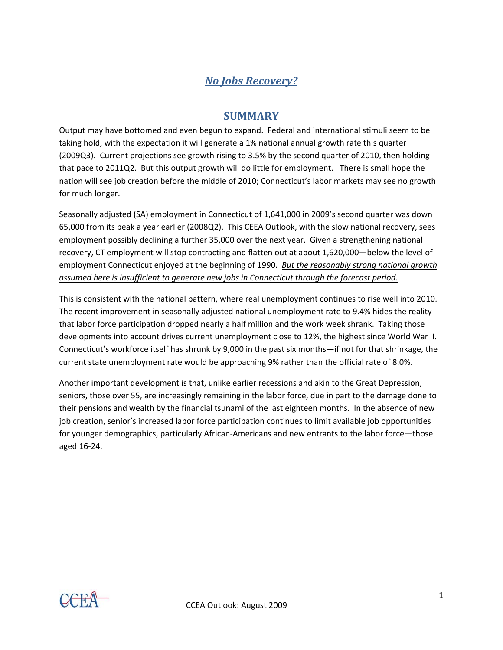## *No Jobs Recovery?*

### **SUMMARY**

Output may have bottomed and even begun to expand. Federal and international stimuli seem to be taking hold, with the expectation it will generate a 1% national annual growth rate this quarter (2009Q3). Current projections see growth rising to 3.5% by the second quarter of 2010, then holding that pace to 2011Q2. But this output growth will do little for employment. There is small hope the nation will see job creation before the middle of 2010; Connecticut's labor markets may see no growth for much longer.

Seasonally adjusted (SA) employment in Connecticut of 1,641,000 in 2009's second quarter was down 65,000 from its peak a year earlier (2008Q2). This CEEA Outlook, with the slow national recovery, sees employment possibly declining a further 35,000 over the next year. Given a strengthening national recovery, CT employment will stop contracting and flatten out at about 1,620,000—below the level of employment Connecticut enjoyed at the beginning of 1990. *But the reasonably strong national growth assumed here is insufficient to generate new jobs in Connecticut through the forecast period.*

This is consistent with the national pattern, where real unemployment continues to rise well into 2010. The recent improvement in seasonally adjusted national unemployment rate to 9.4% hides the reality that labor force participation dropped nearly a half million and the work week shrank. Taking those developments into account drives current unemployment close to 12%, the highest since World War II. Connecticut's workforce itself has shrunk by 9,000 in the past six months—if not for that shrinkage, the current state unemployment rate would be approaching 9% rather than the official rate of 8.0%.

Another important development is that, unlike earlier recessions and akin to the Great Depression, seniors, those over 55, are increasingly remaining in the labor force, due in part to the damage done to their pensions and wealth by the financial tsunami of the last eighteen months. In the absence of new job creation, senior's increased labor force participation continues to limit available job opportunities for younger demographics, particularly African-Americans and new entrants to the labor force—those aged 16‐24.

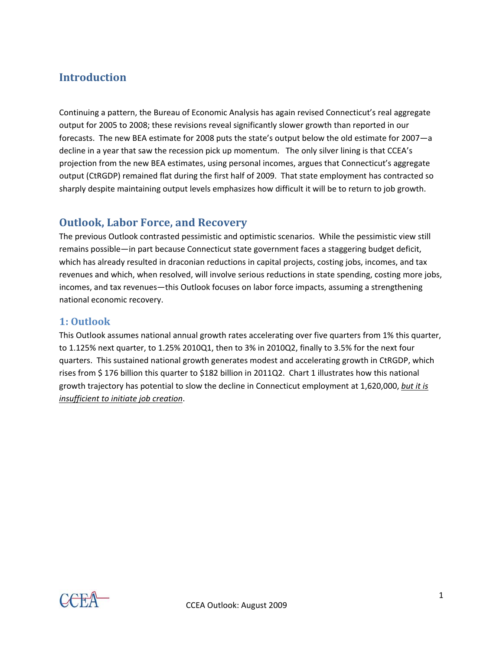## **Introduction**

Continuing a pattern, the Bureau of Economic Analysis has again revised Connecticut's real aggregate output for 2005 to 2008; these revisions reveal significantly slower growth than reported in our forecasts. The new BEA estimate for 2008 puts the state's output below the old estimate for 2007—a decline in a year that saw the recession pick up momentum. The only silver lining is that CCEA's projection from the new BEA estimates, using personal incomes, argues that Connecticut's aggregate output (CtRGDP) remained flat during the first half of 2009. That state employment has contracted so sharply despite maintaining output levels emphasizes how difficult it will be to return to job growth.

### **Outlook, Labor Force, and Recovery**

The previous Outlook contrasted pessimistic and optimistic scenarios. While the pessimistic view still remains possible—in part because Connecticut state government faces a staggering budget deficit, which has already resulted in draconian reductions in capital projects, costing jobs, incomes, and tax revenues and which, when resolved, will involve serious reductions in state spending, costing more jobs, incomes, and tax revenues—this Outlook focuses on labor force impacts, assuming a strengthening national economic recovery.

### **1: Outlook**

This Outlook assumes national annual growth rates accelerating over five quarters from 1% this quarter, to 1.125% next quarter, to 1.25% 2010Q1, then to 3% in 2010Q2, finally to 3.5% for the next four quarters. This sustained national growth generates modest and accelerating growth in CtRGDP, which rises from \$ 176 billion this quarter to \$182 billion in 2011Q2. Chart 1 illustrates how this national growth trajectory has potential to slow the decline in Connecticut employment at 1,620,000, *but it is insufficient to initiate job creation*.

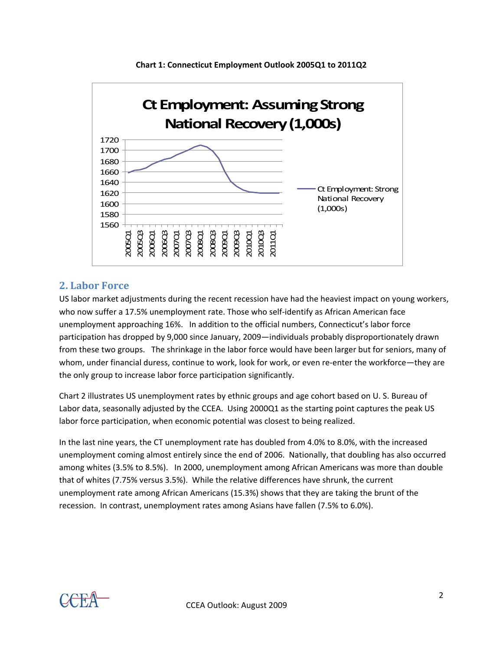

#### **Chart 1: Connecticut Employment Outlook 2005Q1 to 2011Q2**

### **2. Labor Force**

US labor market adjustments during the recent recession have had the heaviest impact on young workers, who now suffer a 17.5% unemployment rate. Those who self-identify as African American face unemployment approaching 16%. In addition to the official numbers, Connecticut's labor force participation has dropped by 9,000 since January, 2009—individuals probably disproportionately drawn from these two groups. The shrinkage in the labor force would have been larger but for seniors, many of whom, under financial duress, continue to work, look for work, or even re-enter the workforce—they are the only group to increase labor force participation significantly.

Chart 2 illustrates US unemployment rates by ethnic groups and age cohort based on U. S. Bureau of Labor data, seasonally adjusted by the CCEA. Using 2000Q1 as the starting point captures the peak US labor force participation, when economic potential was closest to being realized.

In the last nine years, the CT unemployment rate has doubled from 4.0% to 8.0%, with the increased unemployment coming almost entirely since the end of 2006. Nationally, that doubling has also occurred among whites (3.5% to 8.5%). In 2000, unemployment among African Americans was more than double that of whites (7.75% versus 3.5%). While the relative differences have shrunk, the current unemployment rate among African Americans (15.3%) shows that they are taking the brunt of the recession. In contrast, unemployment rates among Asians have fallen (7.5% to 6.0%).

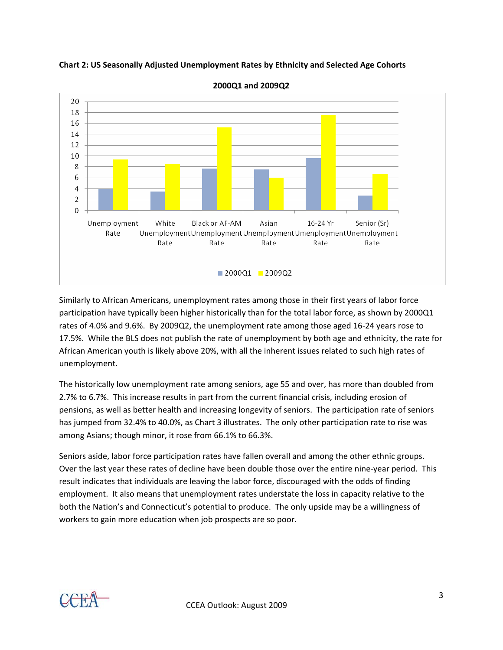

#### **Chart 2: US Seasonally Adjusted Unemployment Rates by Ethnicity and Selected Age Cohorts**

**2000Q1 and 2009Q2**

Similarly to African Americans, unemployment rates among those in their first years of labor force participation have typically been higher historically than for the total labor force, as shown by 2000Q1 rates of 4.0% and 9.6%. By 2009Q2, the unemployment rate among those aged 16‐24 years rose to 17.5%. While the BLS does not publish the rate of unemployment by both age and ethnicity, the rate for African American youth is likely above 20%, with all the inherent issues related to such high rates of unemployment.

The historically low unemployment rate among seniors, age 55 and over, has more than doubled from 2.7% to 6.7%. This increase results in part from the current financial crisis, including erosion of pensions, as well as better health and increasing longevity of seniors. The participation rate of seniors has jumped from 32.4% to 40.0%, as Chart 3 illustrates. The only other participation rate to rise was among Asians; though minor, it rose from 66.1% to 66.3%.

Seniors aside, labor force participation rates have fallen overall and among the other ethnic groups. Over the last year these rates of decline have been double those over the entire nine‐year period. This result indicates that individuals are leaving the labor force, discouraged with the odds of finding employment. It also means that unemployment rates understate the loss in capacity relative to the both the Nation's and Connecticut's potential to produce. The only upside may be a willingness of workers to gain more education when job prospects are so poor.

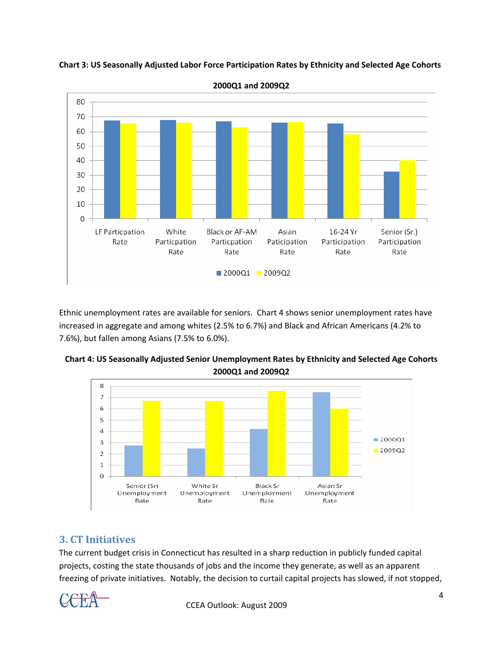

**Chart 3: US Seasonally Adjusted Labor Force Participation Rates by Ethnicity and Selected Age Cohorts**

**2000Q1 and 2009Q2**

Ethnic unemployment rates are available for seniors. Chart 4 shows senior unemployment rates have increased in aggregate and among whites (2.5% to 6.7%) and Black and African Americans (4.2% to 7.6%), but fallen among Asians (7.5% to 6.0%).





### **3. CT Initiatives**

The current budget crisis in Connecticut has resulted in a sharp reduction in publicly funded capital projects, costing the state thousands of jobs and the income they generate, as well as an apparent freezing of private initiatives. Notably, the decision to curtail capital projects has slowed, if not stopped,